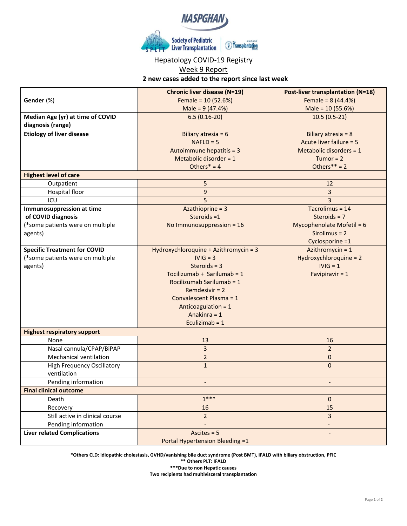

## Hepatology COVID-19 Registry

## Week 9 Report

**2 new cases added to the report since last week**

|                                     | <b>Chronic liver disease (N=19)</b>   | <b>Post-liver transplantation (N=18)</b> |
|-------------------------------------|---------------------------------------|------------------------------------------|
| Gender (%)                          | Female = $10(52.6%)$                  | Female = $8(44.4%)$                      |
|                                     | Male = $9(47.4%)$                     | Male = 10 (55.6%)                        |
| Median Age (yr) at time of COVID    | $6.5(0.16-20)$                        | $10.5(0.5-21)$                           |
| diagnosis (range)                   |                                       |                                          |
| <b>Etiology of liver disease</b>    | Biliary atresia = $6$                 | Biliary atresia = $8$                    |
|                                     | $NAFLD = 5$                           | Acute liver failure = 5                  |
|                                     | Autoimmune hepatitis = 3              | Metabolic disorders = 1                  |
|                                     | Metabolic disorder = $1$              | Tumor = $2$                              |
|                                     | Others $* = 4$                        | Others ** = $2$                          |
| <b>Highest level of care</b>        |                                       |                                          |
| Outpatient                          | 5                                     | 12                                       |
| Hospital floor                      | $\overline{9}$                        | 3                                        |
| ICU                                 | 5                                     | $\overline{3}$                           |
| <b>Immunosuppression at time</b>    | Azathioprine = 3                      | Tacrolimus = 14                          |
| of COVID diagnosis                  | Steroids =1                           | Steroids = $7$                           |
| (*some patients were on multiple    | No Immunosuppression = $16$           | Mycophenolate Mofetil = 6                |
| agents)                             |                                       | $Sirolimus = 2$                          |
|                                     |                                       | Cyclosporine =1                          |
| <b>Specific Treatment for COVID</b> | Hydroxychloroquine + Azithromycin = 3 | Azithromycin = $1$                       |
| (*some patients were on multiple    | $IVIG = 3$                            | Hydroxychloroquine = 2                   |
| agents)                             | Steroids = $3$                        | $IVIG = 1$                               |
|                                     | Tocilizumab + Sarilumab = 1           | Favipiravir = $1$                        |
|                                     | Rocilizumab Sarilumab = 1             |                                          |
|                                     | Remdesivir $= 2$                      |                                          |
|                                     | Convalescent Plasma = 1               |                                          |
|                                     | Anticoagulation = 1                   |                                          |
|                                     | Anakinra = 1                          |                                          |
|                                     | Eculizimab = $1$                      |                                          |
| <b>Highest respiratory support</b>  |                                       |                                          |
| None                                | 13                                    | 16                                       |
| Nasal cannula/CPAP/BiPAP            | 3                                     | $\overline{2}$                           |
| <b>Mechanical ventilation</b>       | $\overline{2}$                        | 0                                        |
| <b>High Frequency Oscillatory</b>   | $\mathbf{1}$                          | $\overline{0}$                           |
| ventilation                         |                                       |                                          |
| Pending information                 |                                       |                                          |
| <b>Final clinical outcome</b>       |                                       |                                          |
| Death                               | $1***$                                | 0                                        |
| Recovery                            | 16                                    | 15                                       |
| Still active in clinical course     | $\overline{2}$                        | 3                                        |
| Pending information                 |                                       |                                          |
| <b>Liver related Complications</b>  | Ascites $= 5$                         |                                          |
|                                     | Portal Hypertension Bleeding =1       |                                          |

**\*Others CLD: idiopathic cholestasis, GVHD/vanishing bile duct syndrome (Post BMT), IFALD with biliary obstruction, PFIC \*\* Others PLT: IFALD \*\*\*Due to non Hepatic causes**